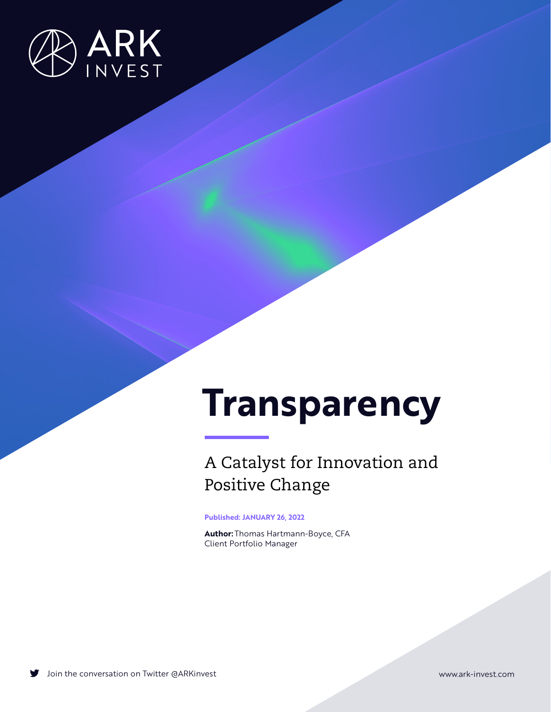

# **Transparency**

## A Catalyst for Innovation and Positive Change

**Published: JANUARY 26, 2022**

**Author:** Thomas Hartmann-Boyce, CFA Client Portfolio Manager

Join the conversation on Twitter [@ARKinvest](https://twitter.com/arkinvest) [www.ark-invest.com](http://www.ark-invest.com)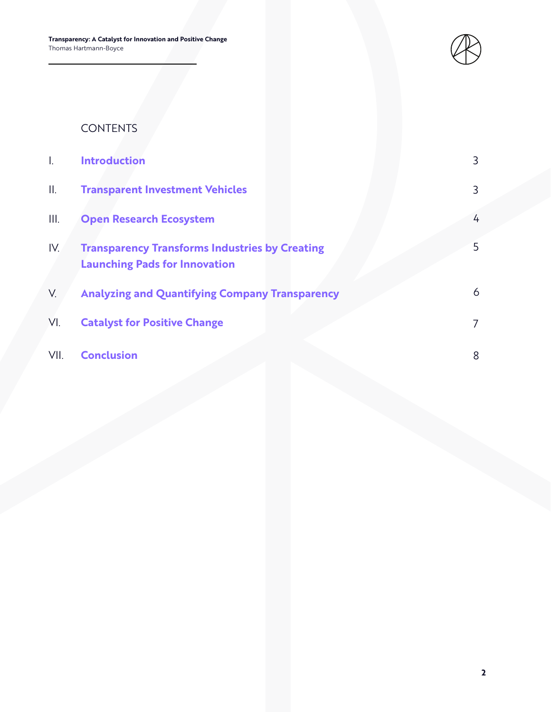**Transparency: A Catalyst for Innovation and Positive Change** Thomas Hartmann-Boyce



## CONTENTS

| I.   | <b>Introduction</b>                                                                           | 3 |
|------|-----------------------------------------------------------------------------------------------|---|
| II.  | <b>Transparent Investment Vehicles</b>                                                        | 3 |
| III. | <b>Open Research Ecosystem</b>                                                                | 4 |
| IV.  | <b>Transparency Transforms Industries by Creating</b><br><b>Launching Pads for Innovation</b> | 5 |
| V.   | <b>Analyzing and Quantifying Company Transparency</b>                                         | 6 |
| VI.  | <b>Catalyst for Positive Change</b>                                                           | 7 |
| VII. | <b>Conclusion</b>                                                                             | 8 |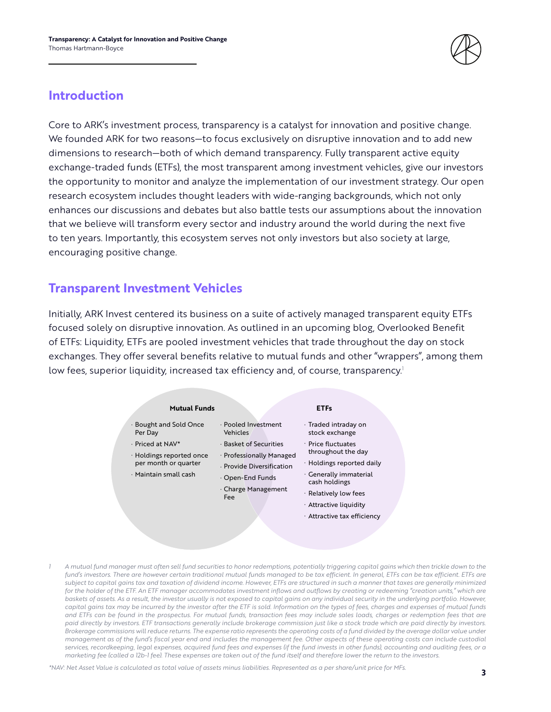

#### **Introduction**

Core to ARK's investment process, transparency is a catalyst for innovation and positive change. We founded ARK for two reasons—to focus exclusively on disruptive innovation and to add new dimensions to research—both of which demand transparency. Fully transparent active equity exchange-traded funds (ETFs), the most transparent among investment vehicles, give our investors the opportunity to monitor and analyze the implementation of our investment strategy. Our open research ecosystem includes thought leaders with wide-ranging backgrounds, which not only enhances our discussions and debates but also battle tests our assumptions about the innovation that we believe will transform every sector and industry around the world during the next five to ten years. Importantly, this ecosystem serves not only investors but also society at large, encouraging positive change.

#### **Transparent Investment Vehicles**

Initially, ARK Invest centered its business on a suite of actively managed transparent equity ETFs focused solely on disruptive innovation. As outlined in an upcoming blog, Overlooked Benefit of ETFs: Liquidity, ETFs are pooled investment vehicles that trade throughout the day on stock exchanges. They offer several benefits relative to mutual funds and other "wrappers", among them low fees, superior liquidity, increased tax efficiency and, of course, transparency.<sup>1</sup>



*1 A mutual fund manager must often sell fund securities to honor redemptions, potentially triggering capital gains which then trickle down to the fund's investors. There are however certain traditional mutual funds managed to be tax efficient. In general, ETFs can be tax efficient. ETFs are subject to capital gains tax and taxation of dividend income. However, ETFs are structured in such a manner that taxes are generally minimized for the holder of the ETF. An ETF manager accommodates investment inflows and outflows by creating or redeeming "creation units," which are baskets of assets. As a result, the investor usually is not exposed to capital gains on any individual security in the underlying portfolio. However, capital gains tax may be incurred by the investor after the ETF is sold. Information on the types of fees, charges and expenses of mutual funds and ETFs can be found in the prospectus. For mutual funds, transaction fees may include sales loads, charges or redemption fees that are paid directly by investors. ETF transactions generally include brokerage commission just like a stock trade which are paid directly by investors. Brokerage commissions will reduce returns. The expense ratio represents the operating costs of a fund divided by the average dollar value under management as of the fund's fiscal year end and includes the management fee. Other aspects of these operating costs can include custodial services, recordkeeping, legal expenses, acquired fund fees and expenses (if the fund invests in other funds), accounting and auditing fees, or a marketing fee (called a 12b-1 fee). These expenses are taken out of the fund itself and therefore lower the return to the investors.* 

*\*NAV: Net Asset Value is calculated as total value of assets minus liabilities. Represented as a per share/unit price for MFs.*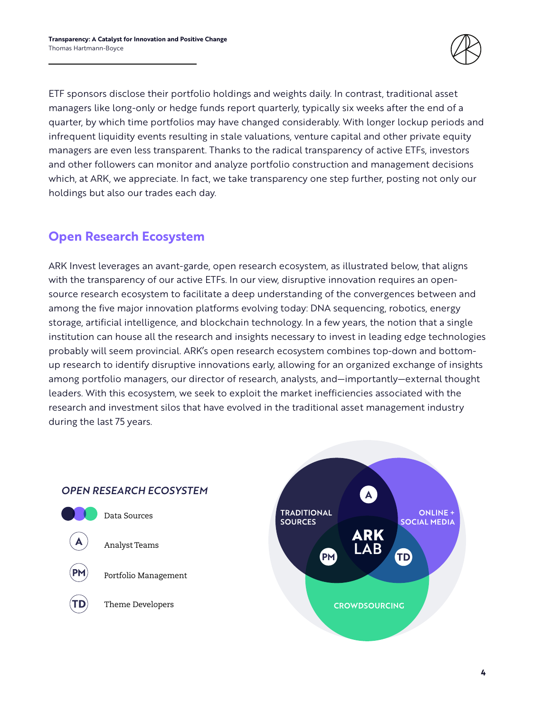

ETF sponsors disclose their portfolio holdings and weights daily. In contrast, traditional asset managers like long-only or hedge funds report quarterly, typically six weeks after the end of a quarter, by which time portfolios may have changed considerably. With longer lockup periods and infrequent liquidity events resulting in stale valuations, venture capital and other private equity managers are even less transparent. Thanks to the radical transparency of active ETFs, investors and other followers can monitor and analyze portfolio construction and management decisions which, at ARK, we appreciate. In fact, we take transparency one step further, posting not only our holdings but also our trades each day.

## **Open Research Ecosystem**

ARK Invest leverages an avant-garde, open research ecosystem, as illustrated below, that aligns with the transparency of our active ETFs. In our view, disruptive innovation requires an opensource research ecosystem to facilitate a deep understanding of the convergences between and among the five major innovation platforms evolving today: DNA sequencing, robotics, energy storage, artificial intelligence, and blockchain technology. In a few years, the notion that a single institution can house all the research and insights necessary to invest in leading edge technologies probably will seem provincial. ARK's open research ecosystem combines top-down and bottomup research to identify disruptive innovations early, allowing for an organized exchange of insights among portfolio managers, our director of research, analysts, and—importantly—external thought leaders. With this ecosystem, we seek to exploit the market inefficiencies associated with the research and investment silos that have evolved in the traditional asset management industry during the last 75 years.



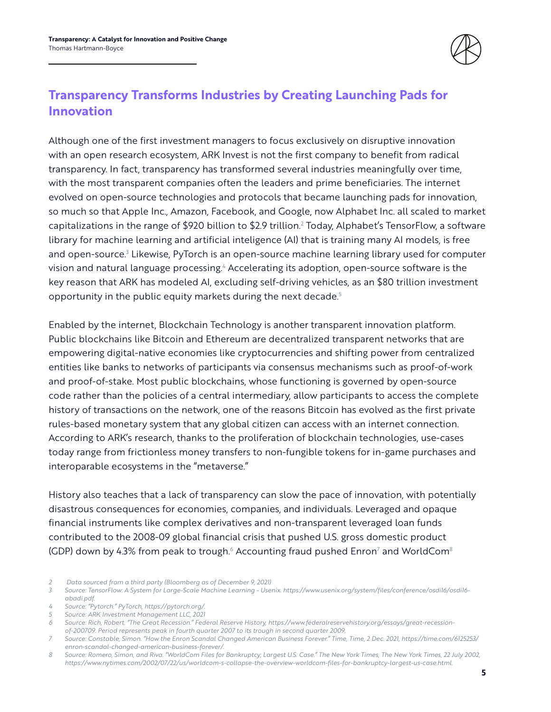

## **Transparency Transforms Industries by Creating Launching Pads for Innovation**

Although one of the first investment managers to focus exclusively on disruptive innovation with an open research ecosystem, ARK Invest is not the first company to benefit from radical transparency. In fact, transparency has transformed several industries meaningfully over time, with the most transparent companies often the leaders and prime beneficiaries. The internet evolved on open-source technologies and protocols that became launching pads for innovation, so much so that Apple Inc., Amazon, Facebook, and Google, now Alphabet Inc. all scaled to market capitalizations in the range of \$920 billion to \$2.9 trillion. $^2$  Today, Alphabet's TensorFlow, a software library for machine learning and artificial inteligence (AI) that is training many AI models, is free and open-source.<sup>3</sup> Likewise, PyTorch is an open-source machine learning library used for computer vision and natural language processing.<sup>4</sup> Accelerating its adoption, open-source software is the key reason that ARK has modeled AI, excluding self-driving vehicles, as an \$80 trillion investment opportunity in the public equity markets during the next decade.<sup>5</sup>

Enabled by the internet, Blockchain Technology is another transparent innovation platform. Public blockchains like Bitcoin and Ethereum are decentralized transparent networks that are empowering digital-native economies like cryptocurrencies and shifting power from centralized entities like banks to networks of participants via consensus mechanisms such as proof-of-work and proof-of-stake. Most public blockchains, whose functioning is governed by open-source code rather than the policies of a central intermediary, allow participants to access the complete history of transactions on the network, one of the reasons Bitcoin has evolved as the first private rules-based monetary system that any global citizen can access with an internet connection. According to ARK's research, thanks to the proliferation of blockchain technologies, use-cases today range from frictionless money transfers to non-fungible tokens for in-game purchases and interoparable ecosystems in the "metaverse."

History also teaches that a lack of transparency can slow the pace of innovation, with potentially disastrous consequences for economies, companies, and individuals. Leveraged and opaque financial instruments like complex derivatives and non-transparent leveraged loan funds contributed to the 2008-09 global financial crisis that pushed U.S. gross domestic product (GDP) down by 4.3% from peak to trough. $^{\circ}$  Accounting fraud pushed Enron $^{\circ}$  and WorldCom $^{\circ}$ 

*5 Source: ARK Investment Management LLC, 2021*

*<sup>2</sup> Data sourced from a third party (Bloomberg as of December 9, 2021)*

*<sup>3</sup> Source: TensorFlow: A System for Large-Scale Machine Learning - Usenix. https://www.usenix.org/system/files/conference/osdi16/osdi16 abadi.pdf.*

*<sup>4</sup> Source: "Pytorch." PyTorch, https://pytorch.org/.*

*<sup>6</sup> Source: Rich, Robert. "The Great Recession." Federal Reserve History, https://www.federalreservehistory.org/essays/great-recessionof-200709. Period represents peak in fourth quarter 2007 to its trough in second quarter 2009.*

*<sup>7</sup> Source: Constable, Simon. "How the Enron Scandal Changed American Business Forever." Time, Time, 2 Dec. 2021, https://time.com/6125253/ enron-scandal-changed-american-business-forever/.*

*<sup>8</sup> Source: Romero, Simon, and Riva. "WorldCom Files for Bankruptcy; Largest U.S. Case." The New York Times, The New York Times, 22 July 2002, https://www.nytimes.com/2002/07/22/us/worldcom-s-collapse-the-overview-worldcom-files-for-bankruptcy-largest-us-case.html.*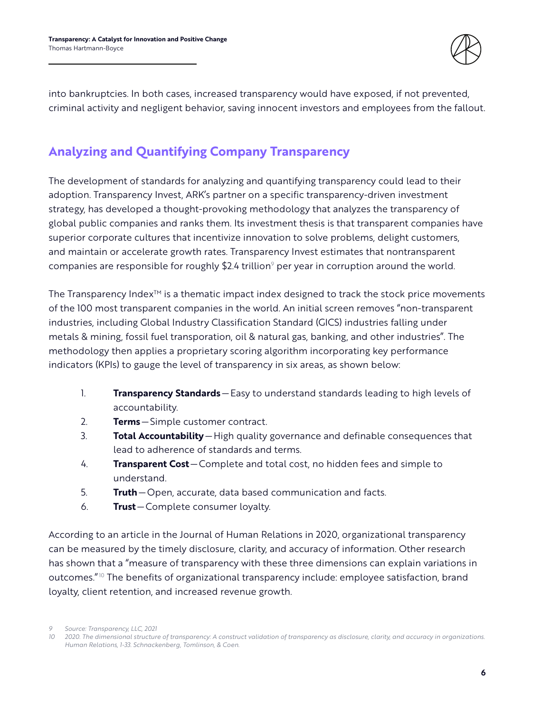

into bankruptcies. In both cases, increased transparency would have exposed, if not prevented, criminal activity and negligent behavior, saving innocent investors and employees from the fallout.

## **Analyzing and Quantifying Company Transparency**

The development of standards for analyzing and quantifying transparency could lead to their adoption. Transparency Invest, ARK's partner on a specific transparency-driven investment strategy, has developed a thought-provoking methodology that analyzes the transparency of global public companies and ranks them. Its investment thesis is that transparent companies have superior corporate cultures that incentivize innovation to solve problems, delight customers, and maintain or accelerate growth rates. Transparency Invest estimates that nontransparent companies are responsible for roughly \$2.4 trillion<sup>9</sup> per year in corruption around the world.

The Transparency Index<sup>™</sup> is a thematic impact index designed to track the stock price movements of the 100 most transparent companies in the world. An initial screen removes "non-transparent industries, including Global Industry Classification Standard (GICS) industries falling under metals & mining, fossil fuel transporation, oil & natural gas, banking, and other industries". The methodology then applies a proprietary scoring algorithm incorporating key performance indicators (KPIs) to gauge the level of transparency in six areas, as shown below:

- 1. **Transparency Standards**—Easy to understand standards leading to high levels of accountability.
- 2. **Terms**—Simple customer contract.
- 3. **Total Accountability**—High quality governance and definable consequences that lead to adherence of standards and terms.
- 4. **Transparent Cost**—Complete and total cost, no hidden fees and simple to understand.
- 5. **Truth**—Open, accurate, data based communication and facts.
- 6. **Trust**—Complete consumer loyalty.

According to an article in the Journal of Human Relations in 2020, organizational transparency can be measured by the timely disclosure, clarity, and accuracy of information. Other research has shown that a "measure of transparency with these three dimensions can explain variations in outcomes."10 The benefits of organizational transparency include: employee satisfaction, brand loyalty, client retention, and increased revenue growth.

*9 Source: Transparency, LLC, 2021*

*<sup>10</sup> 2020. The dimensional structure of transparency: A construct validation of transparency as disclosure, clarity, and accuracy in organizations. Human Relations, 1-33. Schnackenberg, Tomlinson, & Coen.*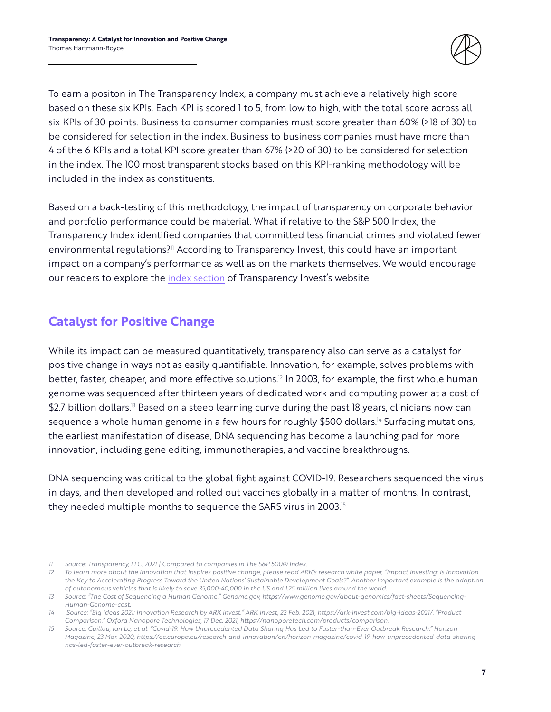

To earn a positon in The Transparency Index, a company must achieve a relatively high score based on these six KPIs. Each KPI is scored 1 to 5, from low to high, with the total score across all six KPIs of 30 points. Business to consumer companies must score greater than 60% (>18 of 30) to be considered for selection in the index. Business to business companies must have more than 4 of the 6 KPIs and a total KPI score greater than 67% (>20 of 30) to be considered for selection in the index. The 100 most transparent stocks based on this KPI-ranking methodology will be included in the index as constituents.

Based on a back-testing of this methodology, the impact of transparency on corporate behavior and portfolio performance could be material. What if relative to the S&P 500 Index, the Transparency Index identified companies that committed less financial crimes and violated fewer environmental regulations?<sup>11</sup> According to Transparency Invest, this could have an important impact on a company's performance as well as on the markets themselves. We would encourage our readers to explore the [index section](https://transparency.global/transparency-index/) of Transparency Invest's website.

#### **Catalyst for Positive Change**

While its impact can be measured quantitatively, transparency also can serve as a catalyst for positive change in ways not as easily quantifiable. Innovation, for example, solves problems with better, faster, cheaper, and more effective solutions.<sup>12</sup> In 2003, for example, the first whole human genome was sequenced after thirteen years of dedicated work and computing power at a cost of \$2.7 billion dollars.<sup>13</sup> Based on a steep learning curve during the past 18 years, clinicians now can sequence a whole human genome in a few hours for roughly \$500 dollars.<sup>14</sup> Surfacing mutations, the earliest manifestation of disease, DNA sequencing has become a launching pad for more innovation, including gene editing, immunotherapies, and vaccine breakthroughs.

DNA sequencing was critical to the global fight against COVID-19. Researchers sequenced the virus in days, and then developed and rolled out vaccines globally in a matter of months. In contrast, they needed multiple months to sequence the SARS virus in 2003.<sup>15</sup>

*<sup>11</sup> Source: Transparency, LLC, 2021 | Compared to companies in The S&P 500® Index.*

*<sup>12</sup> To learn more about the innovation that inspires positive change, please read ARK's research white paper, "Impact Investing: Is Innovation the Key to Accelerating Progress Toward the United Nations' Sustainable Development Goals?". Another important example is the adoption of autonomous vehicles that is likely to save 35,000-40,000 in the US and 1.25 million lives around the world.*

*<sup>13</sup> Source: "The Cost of Sequencing a Human Genome." Genome.gov, https://www.genome.gov/about-genomics/fact-sheets/Sequencing-Human-Genome-cost.*

*<sup>14</sup> Source: "Big Ideas 2021: Innovation Research by ARK Invest." ARK Invest, 22 Feb. 2021, https://ark-invest.com/big-ideas-2021/. "Product Comparison." Oxford Nanopore Technologies, 17 Dec. 2021, https://nanoporetech.com/products/comparison.*

*<sup>15</sup> Source: Guillou, Ian Le, et al. "Covid-19: How Unprecedented Data Sharing Has Led to Faster-than-Ever Outbreak Research." Horizon Magazine, 23 Mar. 2020, https://ec.europa.eu/research-and-innovation/en/horizon-magazine/covid-19-how-unprecedented-data-sharinghas-led-faster-ever-outbreak-research.*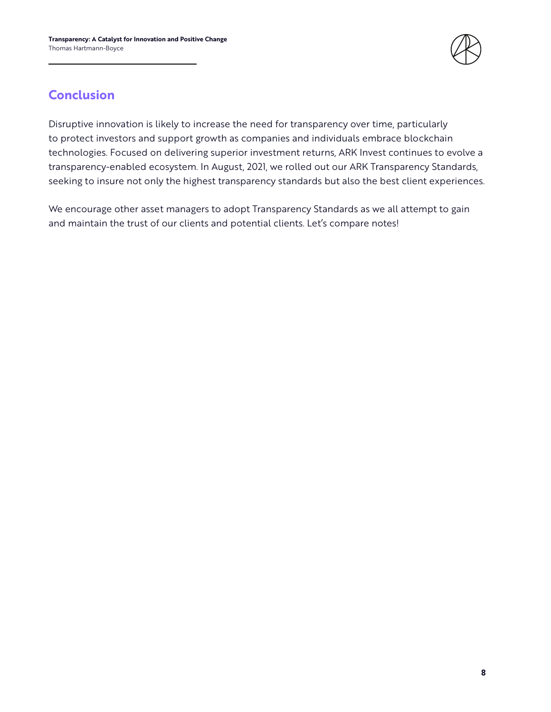

## **Conclusion**

Disruptive innovation is likely to increase the need for transparency over time, particularly to protect investors and support growth as companies and individuals embrace blockchain technologies. Focused on delivering superior investment returns, ARK Invest continues to evolve a transparency-enabled ecosystem. In August, 2021, we rolled out our ARK Transparency Standards, seeking to insure not only the highest transparency standards but also the best client experiences.

We encourage other asset managers to adopt Transparency Standards as we all attempt to gain and maintain the trust of our clients and potential clients. Let's compare notes!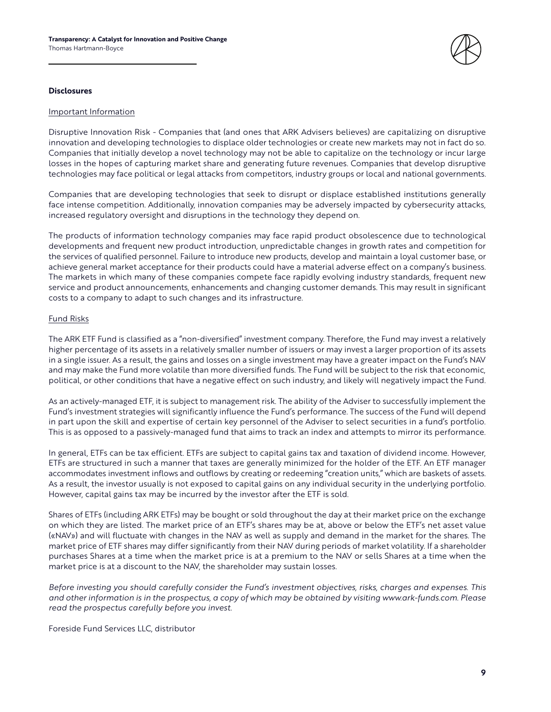

#### **Disclosures**

#### Important Information

Disruptive Innovation Risk - Companies that (and ones that ARK Advisers believes) are capitalizing on disruptive innovation and developing technologies to displace older technologies or create new markets may not in fact do so. Companies that initially develop a novel technology may not be able to capitalize on the technology or incur large losses in the hopes of capturing market share and generating future revenues. Companies that develop disruptive technologies may face political or legal attacks from competitors, industry groups or local and national governments.

Companies that are developing technologies that seek to disrupt or displace established institutions generally face intense competition. Additionally, innovation companies may be adversely impacted by cybersecurity attacks, increased regulatory oversight and disruptions in the technology they depend on.

The products of information technology companies may face rapid product obsolescence due to technological developments and frequent new product introduction, unpredictable changes in growth rates and competition for the services of qualified personnel. Failure to introduce new products, develop and maintain a loyal customer base, or achieve general market acceptance for their products could have a material adverse effect on a company's business. The markets in which many of these companies compete face rapidly evolving industry standards, frequent new service and product announcements, enhancements and changing customer demands. This may result in significant costs to a company to adapt to such changes and its infrastructure.

#### Fund Risks

The ARK ETF Fund is classified as a "non-diversified" investment company. Therefore, the Fund may invest a relatively higher percentage of its assets in a relatively smaller number of issuers or may invest a larger proportion of its assets in a single issuer. As a result, the gains and losses on a single investment may have a greater impact on the Fund's NAV and may make the Fund more volatile than more diversified funds. The Fund will be subject to the risk that economic, political, or other conditions that have a negative effect on such industry, and likely will negatively impact the Fund.

As an actively-managed ETF, it is subject to management risk. The ability of the Adviser to successfully implement the Fund's investment strategies will significantly influence the Fund's performance. The success of the Fund will depend in part upon the skill and expertise of certain key personnel of the Adviser to select securities in a fund's portfolio. This is as opposed to a passively-managed fund that aims to track an index and attempts to mirror its performance.

In general, ETFs can be tax efficient. ETFs are subject to capital gains tax and taxation of dividend income. However, ETFs are structured in such a manner that taxes are generally minimized for the holder of the ETF. An ETF manager accommodates investment inflows and outflows by creating or redeeming "creation units," which are baskets of assets. As a result, the investor usually is not exposed to capital gains on any individual security in the underlying portfolio. However, capital gains tax may be incurred by the investor after the ETF is sold.

Shares of ETFs (including ARK ETFs) may be bought or sold throughout the day at their market price on the exchange on which they are listed. The market price of an ETF's shares may be at, above or below the ETF's net asset value («NAV») and will fluctuate with changes in the NAV as well as supply and demand in the market for the shares. The market price of ETF shares may differ significantly from their NAV during periods of market volatility. If a shareholder purchases Shares at a time when the market price is at a premium to the NAV or sells Shares at a time when the market price is at a discount to the NAV, the shareholder may sustain losses.

*Before investing you should carefully consider the Fund's investment objectives, risks, charges and expenses. This and other information is in the prospectus, a copy of which may be obtained by visiting www.ark-funds.com. Please read the prospectus carefully before you invest.*

Foreside Fund Services LLC, distributor